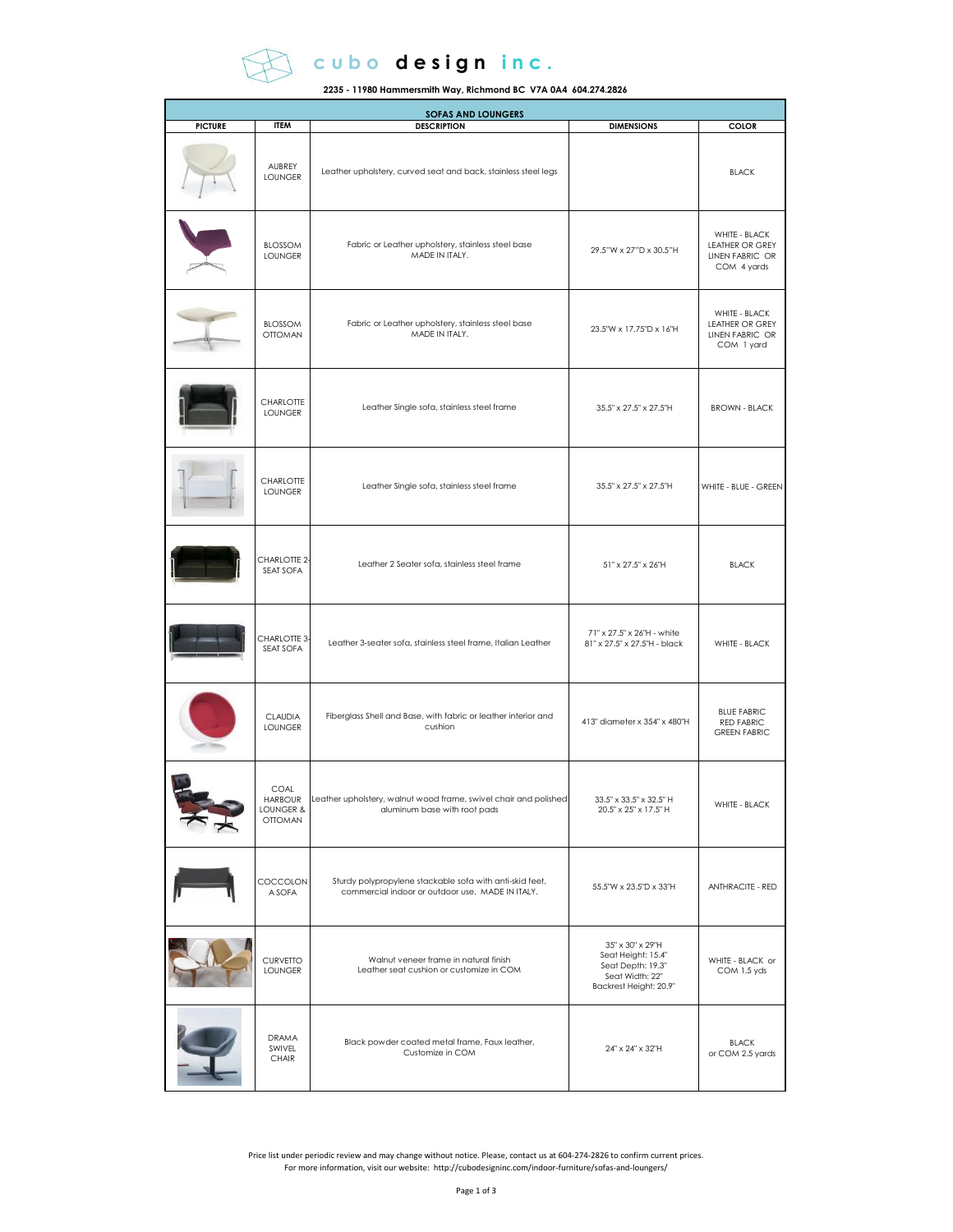

## c u b o d e s i g n i n c.

**2235 - 11980 Hammersmith Way, Richmond BC V7A 0A4 604.274.2826**

| <b>SOFAS AND LOUNGERS</b> |                                                |                                                                                                              |                                                                                                          |                                                                           |  |
|---------------------------|------------------------------------------------|--------------------------------------------------------------------------------------------------------------|----------------------------------------------------------------------------------------------------------|---------------------------------------------------------------------------|--|
| <b>PICTURE</b>            | <b>ITEM</b>                                    | <b>DESCRIPTION</b>                                                                                           | <b>DIMENSIONS</b>                                                                                        | <b>COLOR</b>                                                              |  |
|                           | AUBREY<br><b>LOUNGER</b>                       | Leather upholstery, curved seat and back, stainless steel legs                                               |                                                                                                          | <b>BLACK</b>                                                              |  |
|                           | <b>BLOSSOM</b><br><b>LOUNGER</b>               | Fabric or Leather upholstery, stainless steel base<br>MADE IN ITALY.                                         | 29.5"W x 27"D x 30.5"H                                                                                   | WHITE - BLACK<br><b>LEATHER OR GREY</b><br>LINEN FABRIC OR<br>COM 4 yards |  |
|                           | <b>BLOSSOM</b><br><b>OTTOMAN</b>               | Fabric or Leather upholstery, stainless steel base<br>MADE IN ITALY.                                         | 23.5"W x 17.75"D x 16"H                                                                                  | WHITE - BLACK<br>LEATHER OR GREY<br>LINEN FABRIC OR<br>COM 1 yard         |  |
|                           | <b>CHARLOTTE</b><br><b>LOUNGER</b>             | Leather Single sofa, stainless steel frame                                                                   | 35.5" x 27.5" x 27.5"H                                                                                   | <b>BROWN - BLACK</b>                                                      |  |
|                           | <b>CHARLOTTE</b><br><b>LOUNGER</b>             | Leather Single sofa, stainless steel frame                                                                   | 35.5" x 27.5" x 27.5"H                                                                                   | WHITE - BLUE - GREEN                                                      |  |
|                           | CHARLOTTE 2-<br>SEAT SOFA                      | Leather 2 Seater sofa, stainless steel frame                                                                 | 51" x 27.5" x 26"H                                                                                       | <b>BLACK</b>                                                              |  |
|                           | CHARLOTTE 3-<br>SEAT SOFA                      | Leather 3-seater sofa, stainless steel frame, Italian Leather                                                | 71" x 27.5" x 26"H - white<br>81" x 27.5" x 27.5"H - black                                               | WHITE - BLACK                                                             |  |
|                           | <b>CLAUDIA</b><br><b>LOUNGER</b>               | Fiberglass Shell and Base, with fabric or leather interior and<br>cushion                                    | 413" diameter x 354" x 480"H                                                                             | <b>BLUE FABRIC</b><br>RED FABRIC<br><b>GREEN FABRIC</b>                   |  |
|                           | COAL<br>HARBOUR<br>LOUNGER &<br><b>OTTOMAN</b> | Leather upholstery, walnut wood trame, swivel chair and polished<br>aluminum base with root pads             | 33.5" x 33.5" x 32.5" H<br>20.5" x 25" x 17.5" H                                                         | WHITE - BLACK                                                             |  |
|                           | COCCOLON<br>A SOFA                             | Sturdy polypropylene stackable sofa with anti-skid feet,<br>commercial indoor or outdoor use. MADE IN ITALY. | 55.5"W x 23.5"D x 33"H                                                                                   | <b>ANTHRACITE - RED</b>                                                   |  |
|                           | CURVETTO<br><b>LOUNGER</b>                     | Walnut veneer frame in natural finish<br>Leather seat cushion or customize in COM                            | 35" x 30" x 29"H<br>Seat Height: 15.4"<br>Seat Depth: 19.3"<br>Seat Width: 22"<br>Backrest Height: 20.9" | WHITE - BLACK or<br>COM 1.5 yds                                           |  |
|                           | DRAMA<br>SWIVEL<br>CHAIR                       | Black powder coated metal frame, Faux leather,<br>Customize in COM                                           | 24" x 24" x 32"H                                                                                         | <b>BLACK</b><br>or COM 2.5 yards                                          |  |

.Price list under periodic review and may change without notice. Please, contact us at 604-274-2826 to confirm current prices.<br>For more information, visit our website: http://cubodesigninc.com/indoor-furniture/sofas-and-lo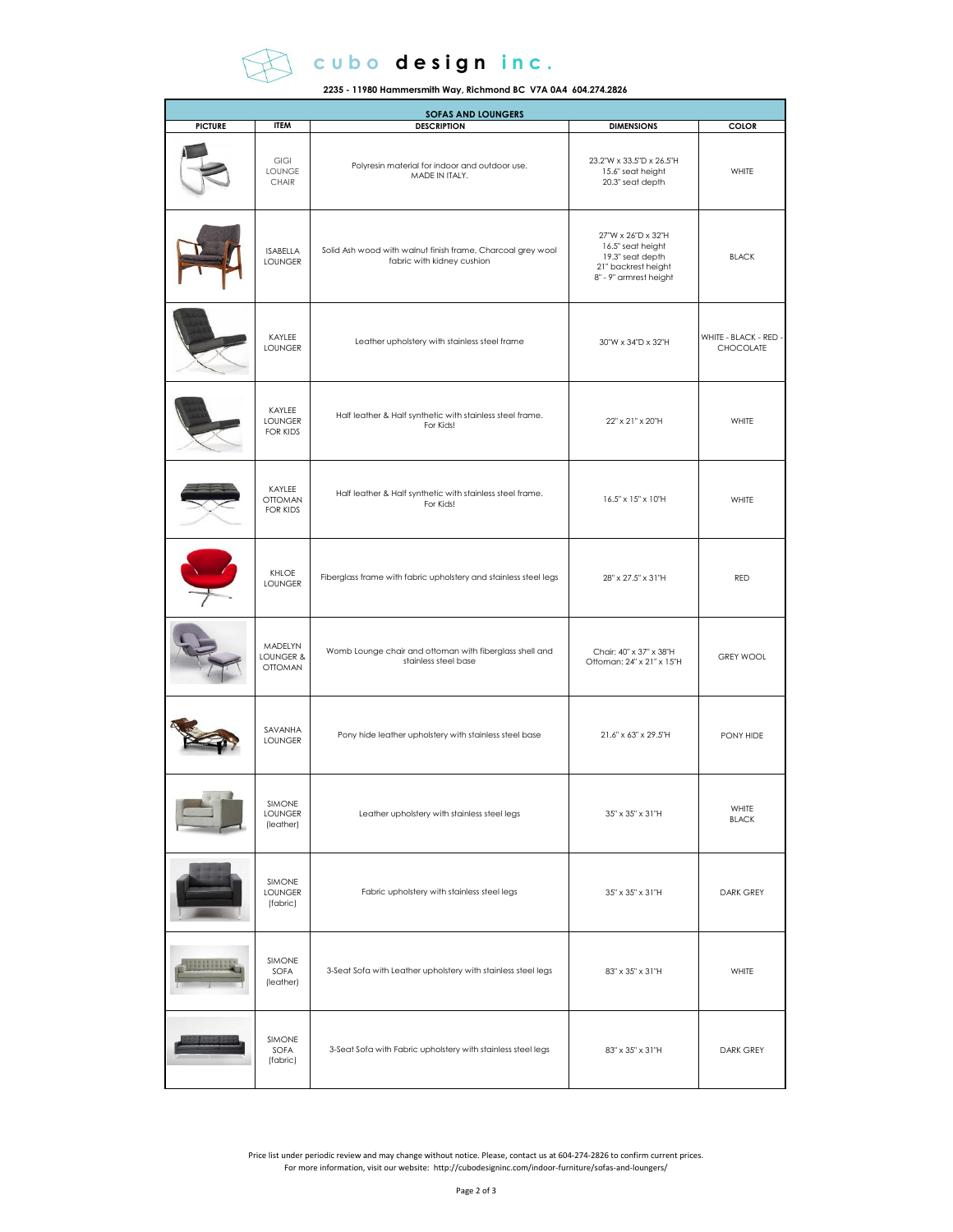

## c u b o d e sign inc.

**2235 - 11980 Hammersmith Way, Richmond BC V7A 0A4 604.274.2826**

| <b>SOFAS AND LOUNGERS</b> |                                        |                                                                                           |                                                                                                              |                                           |  |  |
|---------------------------|----------------------------------------|-------------------------------------------------------------------------------------------|--------------------------------------------------------------------------------------------------------------|-------------------------------------------|--|--|
| <b>PICTURE</b>            | <b>ITEM</b>                            | <b>DESCRIPTION</b>                                                                        | <b>DIMENSIONS</b>                                                                                            | <b>COLOR</b>                              |  |  |
|                           | GIGI<br>LOUNGE<br>CHAIR                | Polyresin material for indoor and outdoor use.<br>MADE IN ITALY.                          | 23.2"W x 33.5"D x 26.5"H<br>15.6" seat height<br>20.3" seat depth                                            | WHITE                                     |  |  |
|                           | <b>ISABELLA</b><br><b>LOUNGER</b>      | Solid Ash wood with walnut finish frame, Charcoal grey wool<br>fabric with kidney cushion | 27"W x 26"D x 32"H<br>16.5" seat height<br>19.3" seat depth<br>21" backrest height<br>8" - 9" armrest height | <b>BLACK</b>                              |  |  |
|                           | KAYLEE<br><b>LOUNGER</b>               | Leather upholstery with stainless steel frame                                             | 30"W x 34"D x 32"H                                                                                           | WHITE - BLACK - RED -<br><b>CHOCOLATE</b> |  |  |
|                           | KAYLEE<br><b>LOUNGER</b><br>FOR KIDS   | Half leather & Half synthetic with stainless steel frame.<br>For Kids!                    | 22" x 21" x 20"H                                                                                             | WHITE                                     |  |  |
|                           | KAYLEE<br><b>OTTOMAN</b><br>FOR KIDS   | Half leather & Half synthetic with stainless steel frame.<br>For Kids!                    | 16.5" x 15" x 10"H                                                                                           | WHITE                                     |  |  |
|                           | KHLOE<br><b>LOUNGER</b>                | Fiberglass frame with fabric upholstery and stainless steel legs                          | 28" x 27.5" x 31"H                                                                                           | RED                                       |  |  |
|                           | MADELYN<br>LOUNGER &<br><b>OTTOMAN</b> | Womb Lounge chair and ottoman with fiberglass shell and<br>stainless steel base           | Chair: 40" x 37" x 38"H<br>Ottoman: 24" x 21" x 15"H                                                         | <b>GREY WOOL</b>                          |  |  |
|                           | SAVANHA<br><b>LOUNGER</b>              | Pony hide leather upholstery with stainless steel base                                    | 21.6" x 63" x 29.5"H                                                                                         | PONY HIDE                                 |  |  |
|                           | SIMONE<br><b>LOUNGER</b><br>(leather)  | Leather upholstery with stainless steel legs                                              | 35" x 35" x 31"H                                                                                             | WHITE<br><b>BLACK</b>                     |  |  |
|                           | SIMONE<br>LOUNGER<br>(fabric)          | Fabric upholstery with stainless steel legs                                               | 35" x 35" x 31"H                                                                                             | <b>DARK GREY</b>                          |  |  |
|                           | SIMONE<br>SOFA<br>(leather)            | 3-Seat Sofa with Leather upholstery with stainless steel legs                             | 83" x 35" x 31"H                                                                                             | WHITE                                     |  |  |
|                           | SIMONE<br>SOFA<br>(fabric)             | 3-Seat Sofa with Fabric upholstery with stainless steel legs                              | 83" x 35" x 31"H                                                                                             | DARK GREY                                 |  |  |

.Price list under periodic review and may change without notice. Please, contact us at 604-274-2826 to confirm current prices.<br>For more information, visit our website: http://cubodesigninc.com/indoor-furniture/sofas-and-lo